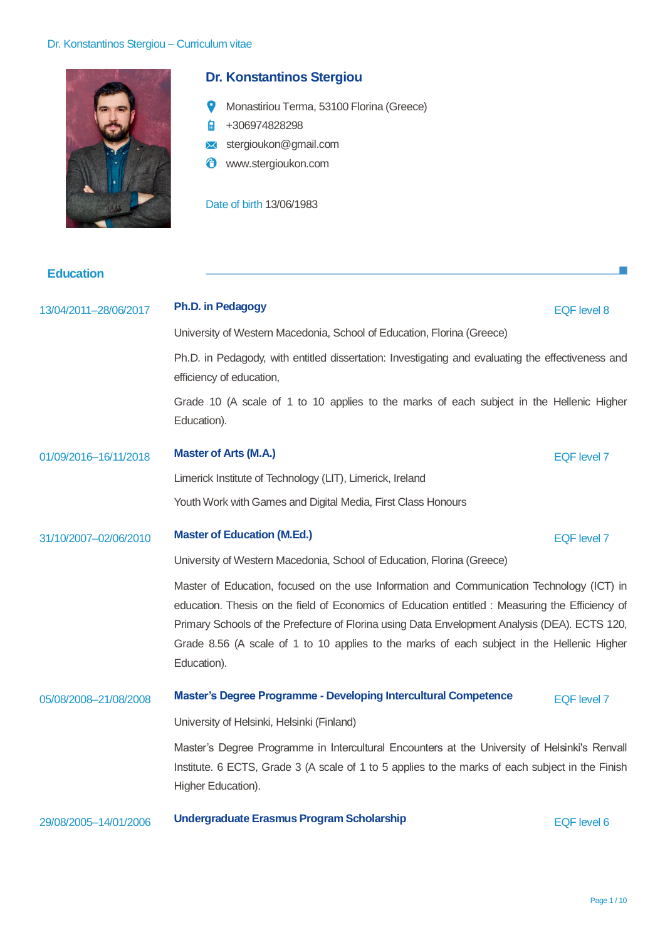

# **Dr. Konstantinos Stergiou**

- Monastiriou Terma, 53100 Florina (Greece)
- +306974828298
- stergioukon@gmail.com
- Ô www.stergioukon.com

Date of birth 13/06/1983

**Education**

# 13/04/2011–28/06/2017 **Ph.D. in Pedagogy** EQF level 8

University of Western Macedonia, School of Education, Florina (Greece)

Ph.D. in Pedagody, with entitled dissertation: Investigating and evaluating the effectiveness and efficiency of education,

Grade 10 (A scale of 1 to 10 applies to the marks of each subject in the Hellenic Higher Education).

## 01/09/2016–16/11/2018 **Master of Arts (M.A.)** EQF level 7

Limerick Institute of Technology (LIT), Limerick, Ireland Youth Work with Games and Digital Media, First Class Honours

#### 31/10/2007–02/06/2010 **Master of Education (M.Ed.)** EQF level 7

University of Western Macedonia, School of Education, Florina (Greece)

Master of Education, focused on the use Information and Communication Technology (ICT) in education. Thesis on the field of Economics of Education entitled : Measuring the Efficiency of Primary Schools of the Prefecture of Florina using Data Envelopment Analysis (DEA). ECTS 120, Grade 8.56 (A scale of 1 to 10 applies to the marks of each subject in the Hellenic Higher Education).

## 05/08/2008–21/08/2008 **Master's Degree Programme - Developing Intercultural Competence** EQF level 7

University of Helsinki, Helsinki (Finland)

Master's Degree Programme in Intercultural Encounters at the University of Helsinki's Renvall Institute. 6 ECTS, Grade 3 (A scale of 1 to 5 applies to the marks of each subject in the Finish Higher Education).

29/08/2005–14/01/2006 **Undergraduate Erasmus Program Scholarship** EQF level 6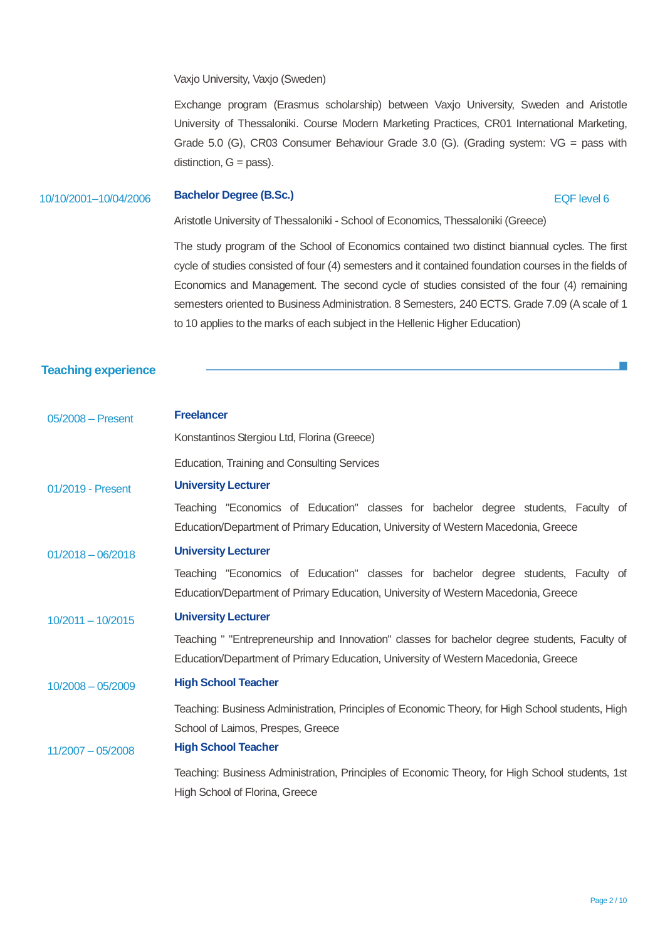Vaxjo University, Vaxjo (Sweden)

Exchange program (Erasmus scholarship) between Vaxjo University, Sweden and Aristotle University of Thessaloniki. Course Modern Marketing Practices, CR01 International Marketing, Grade 5.0 (G), CR03 Consumer Behaviour Grade 3.0 (G). (Grading system: VG = pass with distinction,  $G = p$ ass).

#### 10/10/2001–10/04/2006 **Bachelor Degree (B.Sc.)** EQF level 6

Aristotle University of Thessaloniki - School of Economics, Thessaloniki (Greece)

The study program of the School of Economics contained two distinct biannual cycles. The first cycle of studies consisted of four (4) semesters and it contained foundation courses in the fields of Economics and Management. The second cycle of studies consisted of the four (4) remaining semesters oriented to Business Administration. 8 Semesters, 240 ECTS. Grade 7.09 (A scale of 1 to 10 applies to the marks of each subject in the Hellenic Higher Education)

#### **Teaching experience**

| $05/2008$ - Present | <b>Freelancer</b>                                                                                                                                                                   |  |  |  |  |  |
|---------------------|-------------------------------------------------------------------------------------------------------------------------------------------------------------------------------------|--|--|--|--|--|
|                     | Konstantinos Stergiou Ltd, Florina (Greece)                                                                                                                                         |  |  |  |  |  |
|                     | Education, Training and Consulting Services                                                                                                                                         |  |  |  |  |  |
| 01/2019 - Present   | <b>University Lecturer</b>                                                                                                                                                          |  |  |  |  |  |
|                     | Teaching "Economics of Education" classes for bachelor degree students, Faculty of<br>Education/Department of Primary Education, University of Western Macedonia, Greece            |  |  |  |  |  |
| $01/2018 - 06/2018$ | <b>University Lecturer</b>                                                                                                                                                          |  |  |  |  |  |
|                     | Teaching "Economics of Education" classes for bachelor degree students, Faculty of<br>Education/Department of Primary Education, University of Western Macedonia, Greece            |  |  |  |  |  |
| $10/2011 - 10/2015$ | <b>University Lecturer</b>                                                                                                                                                          |  |  |  |  |  |
|                     | Teaching " "Entrepreneurship and Innovation" classes for bachelor degree students, Faculty of<br>Education/Department of Primary Education, University of Western Macedonia, Greece |  |  |  |  |  |
| $10/2008 - 05/2009$ | <b>High School Teacher</b>                                                                                                                                                          |  |  |  |  |  |
| $11/2007 - 05/2008$ | Teaching: Business Administration, Principles of Economic Theory, for High School students, High<br>School of Laimos, Prespes, Greece<br><b>High School Teacher</b>                 |  |  |  |  |  |
|                     | Teaching: Business Administration, Principles of Economic Theory, for High School students, 1st<br>High School of Florina, Greece                                                   |  |  |  |  |  |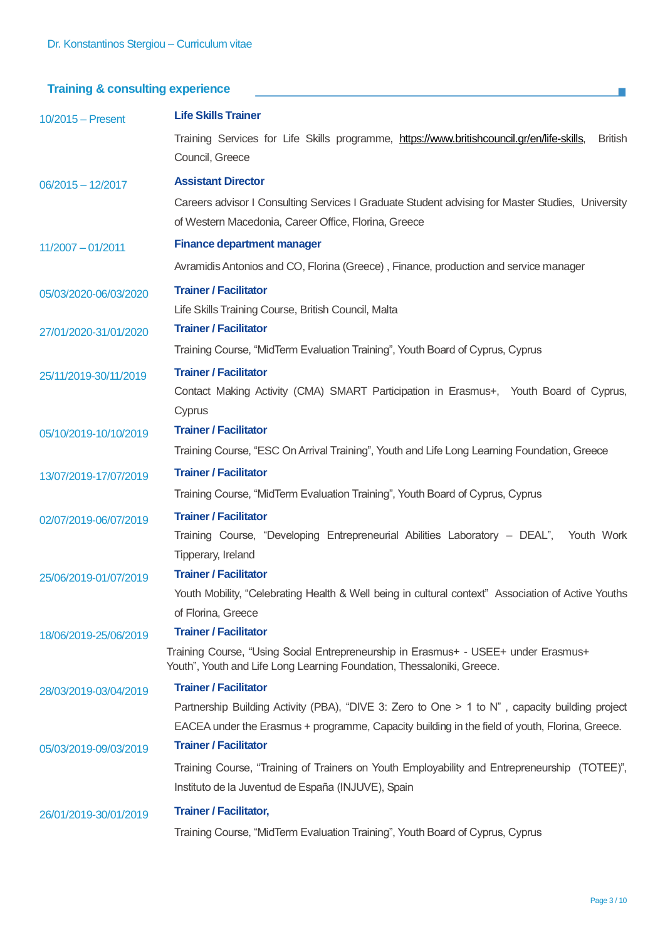# **Training & consulting experience**

| $10/2015 -$ Present   | <b>Life Skills Trainer</b>                                                                                                                                   |  |  |  |  |  |
|-----------------------|--------------------------------------------------------------------------------------------------------------------------------------------------------------|--|--|--|--|--|
|                       | Training Services for Life Skills programme, https://www.britishcouncil.gr/en/life-skills,<br><b>British</b><br>Council, Greece                              |  |  |  |  |  |
| $06/2015 - 12/2017$   | <b>Assistant Director</b>                                                                                                                                    |  |  |  |  |  |
|                       | Careers advisor I Consulting Services I Graduate Student advising for Master Studies, University<br>of Western Macedonia, Career Office, Florina, Greece     |  |  |  |  |  |
| $11/2007 - 01/2011$   | <b>Finance department manager</b>                                                                                                                            |  |  |  |  |  |
|                       | Avramidis Antonios and CO, Florina (Greece), Finance, production and service manager                                                                         |  |  |  |  |  |
| 05/03/2020-06/03/2020 | <b>Trainer / Facilitator</b><br>Life Skills Training Course, British Council, Malta                                                                          |  |  |  |  |  |
| 27/01/2020-31/01/2020 | <b>Trainer / Facilitator</b>                                                                                                                                 |  |  |  |  |  |
|                       | Training Course, "MidTerm Evaluation Training", Youth Board of Cyprus, Cyprus                                                                                |  |  |  |  |  |
| 25/11/2019-30/11/2019 | <b>Trainer / Facilitator</b><br>Contact Making Activity (CMA) SMART Participation in Erasmus+, Youth Board of Cyprus,                                        |  |  |  |  |  |
|                       | Cyprus                                                                                                                                                       |  |  |  |  |  |
| 05/10/2019-10/10/2019 | <b>Trainer / Facilitator</b>                                                                                                                                 |  |  |  |  |  |
|                       | Training Course, "ESC On Arrival Training", Youth and Life Long Learning Foundation, Greece                                                                  |  |  |  |  |  |
| 13/07/2019-17/07/2019 | <b>Trainer / Facilitator</b>                                                                                                                                 |  |  |  |  |  |
|                       | Training Course, "MidTerm Evaluation Training", Youth Board of Cyprus, Cyprus                                                                                |  |  |  |  |  |
| 02/07/2019-06/07/2019 | <b>Trainer / Facilitator</b>                                                                                                                                 |  |  |  |  |  |
|                       | Training Course, "Developing Entrepreneurial Abilities Laboratory - DEAL", Youth Work<br>Tipperary, Ireland                                                  |  |  |  |  |  |
| 25/06/2019-01/07/2019 | <b>Trainer / Facilitator</b>                                                                                                                                 |  |  |  |  |  |
|                       | Youth Mobility, "Celebrating Health & Well being in cultural context" Association of Active Youths                                                           |  |  |  |  |  |
|                       | of Florina, Greece                                                                                                                                           |  |  |  |  |  |
| 18/06/2019-25/06/2019 | <b>Trainer / Facilitator</b>                                                                                                                                 |  |  |  |  |  |
|                       | Training Course, "Using Social Entrepreneurship in Erasmus+ - USEE+ under Erasmus+<br>Youth", Youth and Life Long Learning Foundation, Thessaloniki, Greece. |  |  |  |  |  |
| 28/03/2019-03/04/2019 | <b>Trainer / Facilitator</b>                                                                                                                                 |  |  |  |  |  |
|                       | Partnership Building Activity (PBA), "DIVE 3: Zero to One > 1 to N", capacity building project                                                               |  |  |  |  |  |
|                       | EACEA under the Erasmus + programme, Capacity building in the field of youth, Florina, Greece.                                                               |  |  |  |  |  |
| 05/03/2019-09/03/2019 | <b>Trainer / Facilitator</b>                                                                                                                                 |  |  |  |  |  |
|                       | Training Course, "Training of Trainers on Youth Employability and Entrepreneurship (TOTEE)",<br>Instituto de la Juventud de España (INJUVE), Spain           |  |  |  |  |  |
| 26/01/2019-30/01/2019 | <b>Trainer / Facilitator,</b>                                                                                                                                |  |  |  |  |  |
|                       | Training Course, "MidTerm Evaluation Training", Youth Board of Cyprus, Cyprus                                                                                |  |  |  |  |  |

F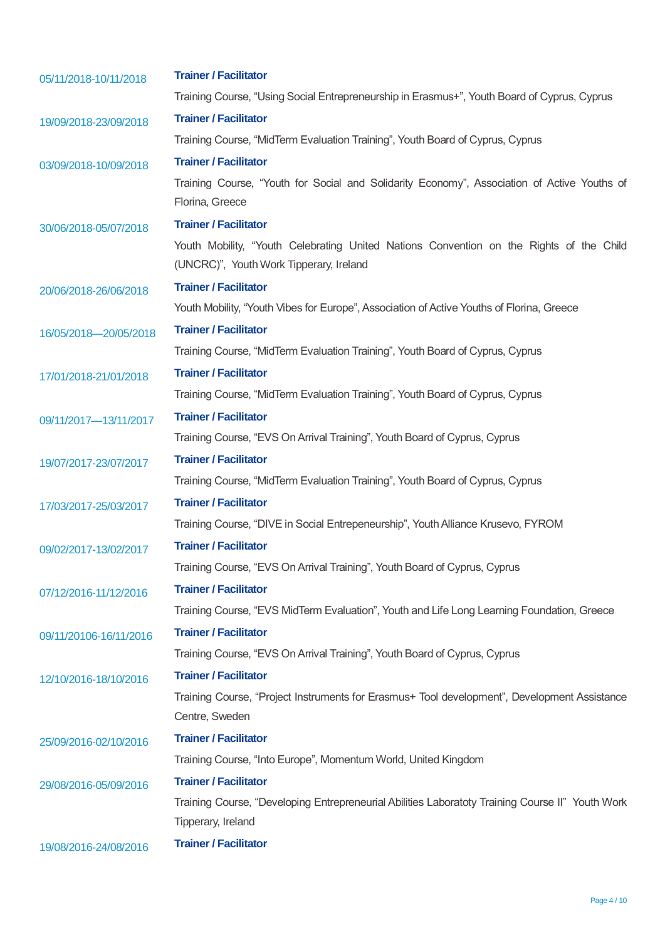| 05/11/2018-10/11/2018  | <b>Trainer / Facilitator</b>                                                                     |  |  |
|------------------------|--------------------------------------------------------------------------------------------------|--|--|
|                        | Training Course, "Using Social Entrepreneurship in Erasmus+", Youth Board of Cyprus, Cyprus      |  |  |
| 19/09/2018-23/09/2018  | <b>Trainer / Facilitator</b>                                                                     |  |  |
|                        | Training Course, "MidTerm Evaluation Training", Youth Board of Cyprus, Cyprus                    |  |  |
| 03/09/2018-10/09/2018  | <b>Trainer / Facilitator</b>                                                                     |  |  |
|                        | Training Course, "Youth for Social and Solidarity Economy", Association of Active Youths of      |  |  |
|                        | Florina, Greece                                                                                  |  |  |
| 30/06/2018-05/07/2018  | <b>Trainer / Facilitator</b>                                                                     |  |  |
|                        | Youth Mobility, "Youth Celebrating United Nations Convention on the Rights of the Child          |  |  |
|                        | (UNCRC)", Youth Work Tipperary, Ireland                                                          |  |  |
| 20/06/2018-26/06/2018  | <b>Trainer / Facilitator</b>                                                                     |  |  |
|                        | Youth Mobility, "Youth Vibes for Europe", Association of Active Youths of Florina, Greece        |  |  |
| 16/05/2018-20/05/2018  | <b>Trainer / Facilitator</b>                                                                     |  |  |
|                        | Training Course, "MidTerm Evaluation Training", Youth Board of Cyprus, Cyprus                    |  |  |
| 17/01/2018-21/01/2018  | <b>Trainer / Facilitator</b>                                                                     |  |  |
|                        | Training Course, "MidTerm Evaluation Training", Youth Board of Cyprus, Cyprus                    |  |  |
| 09/11/2017-13/11/2017  | <b>Trainer / Facilitator</b>                                                                     |  |  |
|                        | Training Course, "EVS On Arrival Training", Youth Board of Cyprus, Cyprus                        |  |  |
| 19/07/2017-23/07/2017  | <b>Trainer / Facilitator</b>                                                                     |  |  |
|                        | Training Course, "MidTerm Evaluation Training", Youth Board of Cyprus, Cyprus                    |  |  |
| 17/03/2017-25/03/2017  | <b>Trainer / Facilitator</b>                                                                     |  |  |
|                        | Training Course, "DIVE in Social Entrepeneurship", Youth Alliance Krusevo, FYROM                 |  |  |
| 09/02/2017-13/02/2017  | <b>Trainer / Facilitator</b>                                                                     |  |  |
|                        | Training Course, "EVS On Arrival Training", Youth Board of Cyprus, Cyprus                        |  |  |
| 07/12/2016-11/12/2016  | <b>Trainer / Facilitator</b>                                                                     |  |  |
|                        | Training Course, "EVS MidTerm Evaluation", Youth and Life Long Learning Foundation, Greece       |  |  |
| 09/11/20106-16/11/2016 | <b>Trainer / Facilitator</b>                                                                     |  |  |
|                        | Training Course, "EVS On Arrival Training", Youth Board of Cyprus, Cyprus                        |  |  |
| 12/10/2016-18/10/2016  | <b>Trainer / Facilitator</b>                                                                     |  |  |
|                        | Training Course, "Project Instruments for Erasmus+ Tool development", Development Assistance     |  |  |
|                        | Centre, Sweden                                                                                   |  |  |
| 25/09/2016-02/10/2016  | <b>Trainer / Facilitator</b>                                                                     |  |  |
|                        | Training Course, "Into Europe", Momentum World, United Kingdom                                   |  |  |
| 29/08/2016-05/09/2016  | <b>Trainer / Facilitator</b>                                                                     |  |  |
|                        | Training Course, "Developing Entrepreneurial Abilities Laboratoty Training Course II" Youth Work |  |  |
|                        | Tipperary, Ireland                                                                               |  |  |
| 19/08/2016-24/08/2016  | <b>Trainer / Facilitator</b>                                                                     |  |  |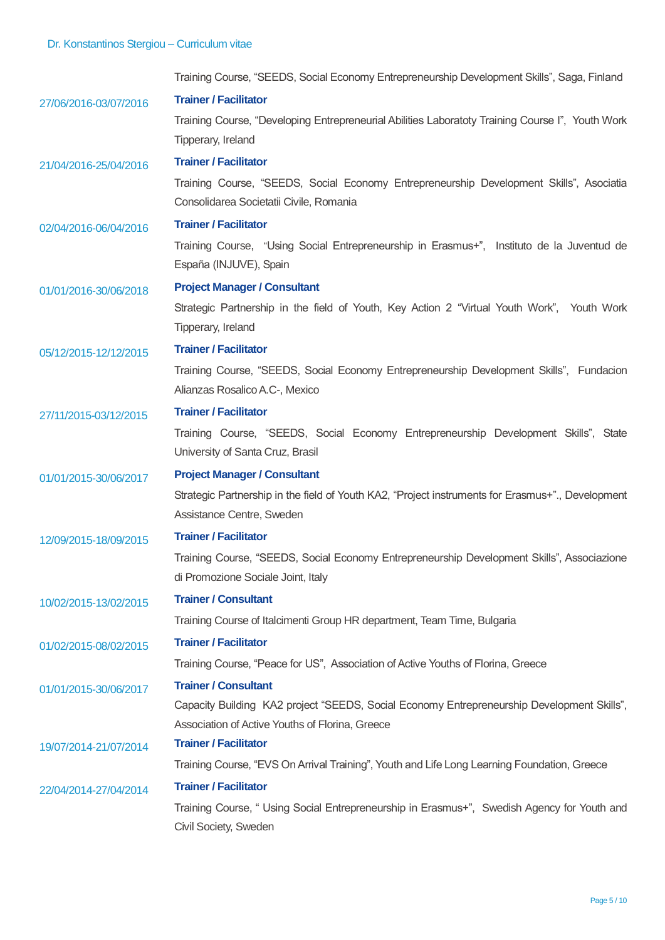Training Course, "SEEDS, Social Economy Entrepreneurship Development Skills", Saga, Finland 27/06/2016-03/07/2016 **Trainer / Facilitator** Training Course, "Developing Entrepreneurial Abilities Laboratoty Training Course Ι", Youth Work Tipperary, Ireland 21/04/2016-25/04/2016 **Trainer / Facilitator** Training Course, "SEEDS, Social Economy Entrepreneurship Development Skills", Asociatia Consolidarea Societatii Civile, Romania 02/04/2016-06/04/2016 **Trainer / Facilitator** Training Course, "Using Social Entrepreneurship in Erasmus+", Instituto de la Juventud de España (INJUVE), Spain

01/01/2016-30/06/2018 **Project Manager / Consultant** 

Strategic Partnership in the field of Youth, Key Action 2 "Virtual Youth Work", Youth Work Tipperary, Ireland

05/12/2015-12/12/2015 **Trainer / Facilitator**

Training Course, "SEEDS, Social Economy Entrepreneurship Development Skills", Fundacion Alianzas Rosalico A.C-, Mexico

#### 27/11/2015-03/12/2015 **Trainer / Facilitator**

Training Course, "SEEDS, Social Economy Entrepreneurship Development Skills", State University of Santa Cruz, Brasil

#### 01/01/2015-30/06/2017 **Project Manager / Consultant**

Strategic Partnership in the field of Youth KA2, "Project instruments for Erasmus+"., Development Assistance Centre, Sweden

12/09/2015-18/09/2015 **Trainer / Facilitator**

Training Course, "SEEDS, Social Economy Entrepreneurship Development Skills", Associazione di Promozione Sociale Joint, Italy

10/02/2015-13/02/2015 **Trainer / Consultant** 

Training Course of Italcimenti Group HR department, Team Time, Bulgaria

#### 01/02/2015-08/02/2015 **Trainer / Facilitator**

Training Course, "Peace for US", Association of Active Youths of Florina, Greece

#### 01/01/2015-30/06/2017 **Trainer / Consultant**

Capacity Building KA2 project "SEEDS, Social Economy Entrepreneurship Development Skills". Association of Active Youths of Florina, Greece

### 19/07/2014-21/07/2014 **Trainer / Facilitator**

Training Course, "EVS On Arrival Training", Youth and Life Long Learning Foundation, Greece

# 22/04/2014-27/04/2014 **Trainer / Facilitator**

Training Course, " Using Social Entrepreneurship in Erasmus+", Swedish Agency for Youth and Civil Society, Sweden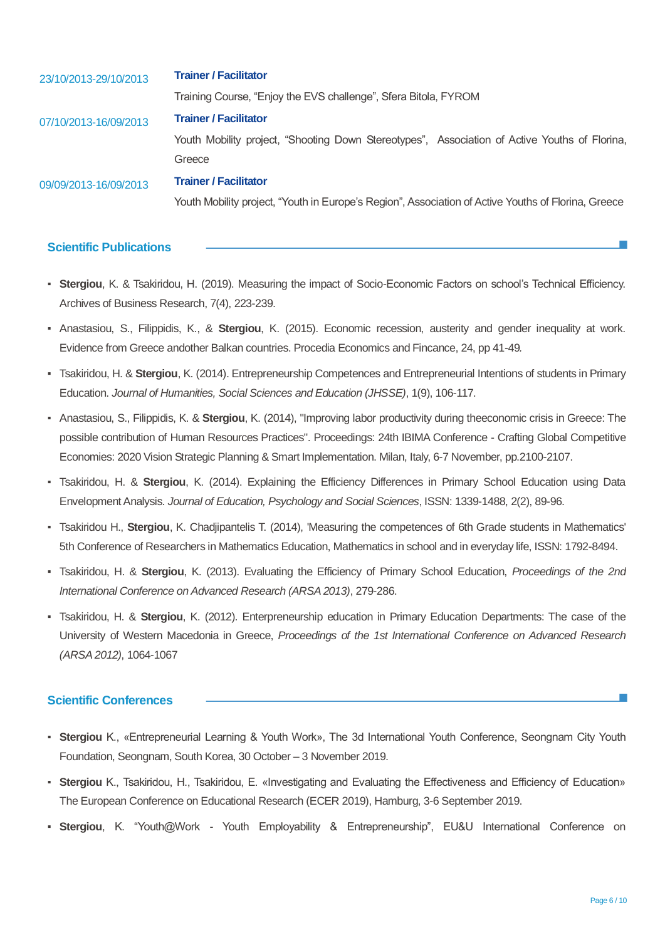| 23/10/2013-29/10/2013 | <b>Trainer / Facilitator</b>                                                                        |  |  |  |
|-----------------------|-----------------------------------------------------------------------------------------------------|--|--|--|
| 07/10/2013-16/09/2013 | Training Course, "Enjoy the EVS challenge", Sfera Bitola, FYROM                                     |  |  |  |
|                       | <b>Trainer / Facilitator</b>                                                                        |  |  |  |
|                       | Youth Mobility project, "Shooting Down Stereotypes", Association of Active Youths of Florina,       |  |  |  |
| 09/09/2013-16/09/2013 | Greece                                                                                              |  |  |  |
|                       | <b>Trainer / Facilitator</b>                                                                        |  |  |  |
|                       | Youth Mobility project, "Youth in Europe's Region", Association of Active Youths of Florina, Greece |  |  |  |

#### **Scientific Publications**

- **Stergiou**, K. & Tsakiridou, H. (2019). Measuring the impact of Socio-Economic Factors on school's Technical Efficiency. Archives of Business Research, 7(4), 223-239.
- Anastasiou, S., Filippidis, K., & **Stergiou**, K. (2015). Economic recession, austerity and gender inequality at work. Evidence from Greece andother Balkan countries. Procedia Economics and Fincance, 24, pp 41-49*.*
- Tsakiridou, H. & **Stergiou**, K. (2014). Entrepreneurship Competences and Entrepreneurial Intentions of students in Primary Education. *Journal of Humanities, Social Sciences and Education (JHSSE)*, 1(9), 106-117.
- Anastasiou, S., Filippidis, K. & **Stergiou**, K. (2014), "Improving labor productivity during theeconomic crisis in Greece: The possible contribution of Human Resources Practices". Proceedings: 24th IBIMA Conference - Crafting Global Competitive Economies: 2020 Vision Strategic Planning & Smart Implementation. Milan, Italy, 6-7 November, pp.2100-2107.
- Tsakiridou, H. & **Stergiou**, K. (2014). Explaining the Efficiency Differences in Primary School Education using Data Envelopment Analysis. *Journal of Education, Psychology and Social Sciences*, ISSN: 1339-1488, 2(2), 89-96.
- Tsakiridou H., **Stergiou**, K. Chadjipantelis T. (2014), 'Measuring the competences of 6th Grade students in Mathematics' 5th Conference of Researchers in Mathematics Education, Mathematics in school and in everyday life, ISSN: 1792-8494.
- Tsakiridou, H. & **Stergiou**, K. (2013). Evaluating the Efficiency of Primary School Education, *Proceedings of the 2nd International Conference on Advanced Research (ARSA 2013)*, 279-286.
- Tsakiridou, H. & **Stergiou**, K. (2012). Enterpreneurship education in Primary Education Departments: The case of the University of Western Macedonia in Greece, *Proceedings of the 1st International Conference on Advanced Research (ARSA 2012)*, 1064-1067

#### **Scientific Conferences**

- **Stergiou** K., «Entrepreneurial Learning & Youth Work», The 3d International Youth Conference, Seongnam City Youth Foundation, Seongnam, South Korea, 30 October – 3 November 2019.
- **Stergiou** K., Tsakiridou, H., Tsakiridou, E. «Investigating and Evaluating the Effectiveness and Efficiency of Education» The European Conference on Educational Research (ECER 2019), Hamburg, 3-6 September 2019.
- **Stergiou**, K. "Youth@Work Youth Employability & Entrepreneurship", EU&U International Conference on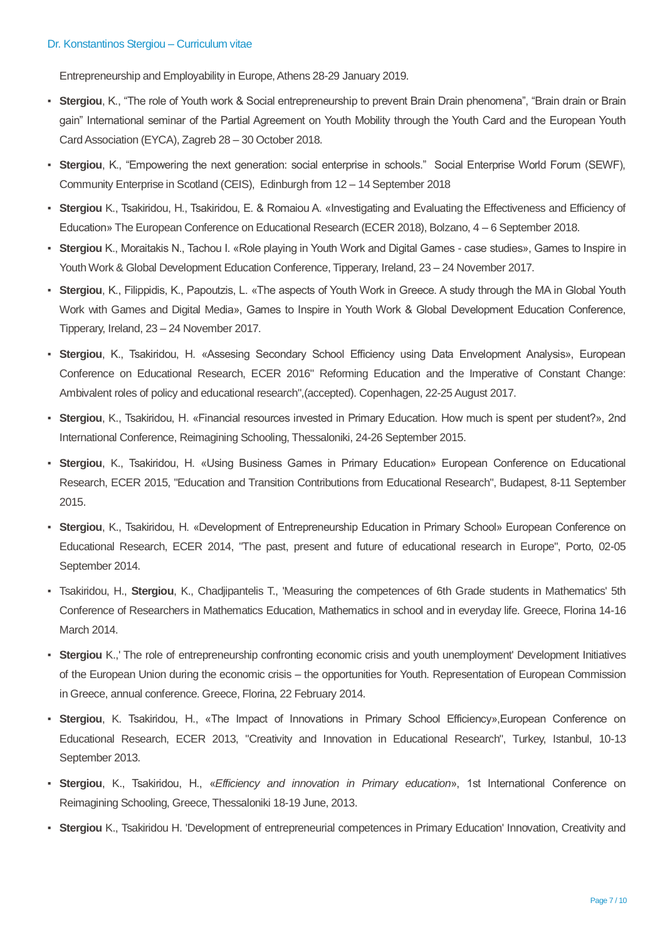Entrepreneurship and Employability in Europe, Athens 28-29 January 2019.

- Stergiou, K., "The role of Youth work & Social entrepreneurship to prevent Brain Drain phenomena", "Brain drain or Brain gain" International seminar of the Partial Agreement on Youth Mobility through the Youth Card and the European Youth Card Association (EYCA), Zagreb 28 – 30 October 2018.
- Stergiou, K., "Empowering the next generation: social enterprise in schools." Social Enterprise World Forum (SEWF), Community Enterprise in Scotland (CEIS), Edinburgh from 12 – 14 September 2018
- **Stergiou** K., Tsakiridou, H., Tsakiridou, E. & Romaiou A. «Investigating and Evaluating the Effectiveness and Efficiency of Education» The European Conference on Educational Research (ECER 2018), Bolzano, 4 – 6 September 2018.
- **Stergiou** K., Moraitakis N., Tachou I. «Role playing in Youth Work and Digital Games case studies», Games to Inspire in Youth Work & Global Development Education Conference, Tipperary, Ireland, 23 – 24 November 2017.
- **Stergiou**, K., Filippidis, K., Papoutzis, L. «The aspects of Youth Work in Greece. A study through the MA in Global Youth Work with Games and Digital Media», Games to Inspire in Youth Work & Global Development Education Conference, Tipperary, Ireland, 23 – 24 November 2017.
- **Stergiou**, K., Tsakiridou, H. «Assesing Secondary School Efficiency using Data Envelopment Analysis», European Conference on Educational Research, ECER 2016" Reforming Education and the Imperative of Constant Change: Ambivalent roles of policy and educational research",(accepted). Copenhagen, 22-25 August 2017.
- **Stergiou**, K., Tsakiridou, H. «Financial resources invested in Primary Education. How much is spent per student?», 2nd International Conference, Reimagining Schooling, Thessaloniki, 24-26 September 2015.
- **Stergiou, K., Tsakiridou, H. «Using Business Games in Primary Education» European Conference on Educational** Research, ECER 2015, "Education and Transition Contributions from Educational Research", Budapest, 8-11 September 2015.
- **Stergiou, K., Tsakiridou, H. «Development of Entrepreneurship Education in Primary School» European Conference on** Educational Research, ECER 2014, "The past, present and future of educational research in Europe", Porto, 02-05 September 2014.
- Tsakiridou, H., **Stergiou**, K., Chadjipantelis T., 'Measuring the competences of 6th Grade students in Mathematics' 5th Conference of Researchers in Mathematics Education, Mathematics in school and in everyday life. Greece, Florina 14-16 March 2014.
- **Stergiou** K.,' The role of entrepreneurship confronting economic crisis and youth unemployment' Development Initiatives of the European Union during the economic crisis – the opportunities for Youth. Representation of European Commission in Greece, annual conference. Greece, Florina, 22 February 2014.
- **Stergiou**, K. Tsakiridou, H., «The Impact of Innovations in Primary School Efficiency»,European Conference on Educational Research, ECER 2013, "Creativity and Innovation in Educational Research", Turkey, Istanbul, 10-13 September 2013.
- **Stergiou**, K., Tsakiridou, H., «*Efficiency and innovation in Primary education*», 1st International Conference on Reimagining Schooling, Greece, Thessaloniki 18-19 June, 2013.
- **Stergiou** K., Tsakiridou H. 'Development of entrepreneurial competences in Primary Education' Innovation, Creativity and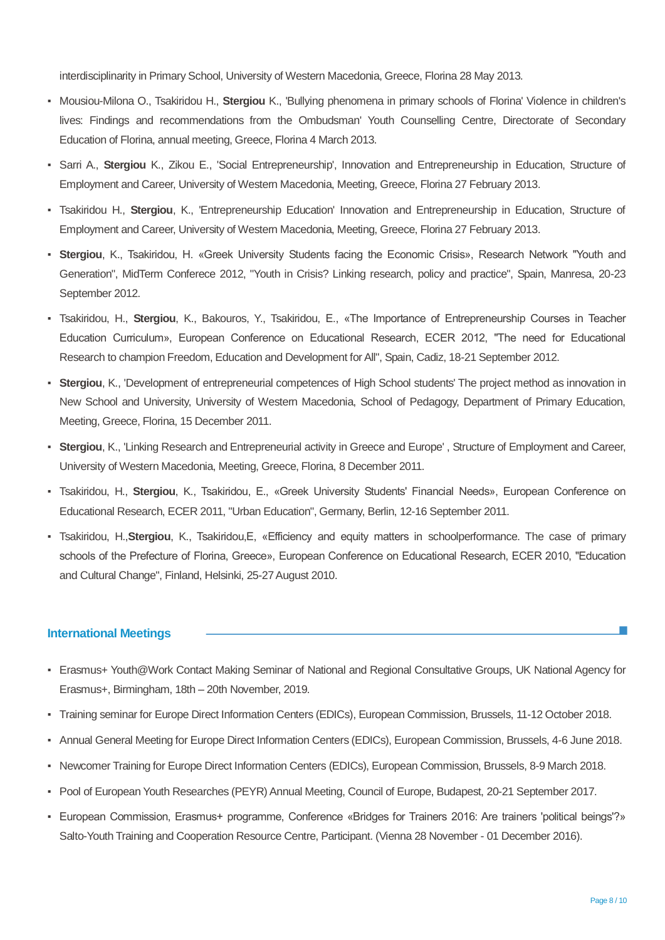interdisciplinarity in Primary School, University of Western Macedonia, Greece, Florina 28 May 2013.

- Mousiou-Milona O., Tsakiridou H., **Stergiou** K., 'Bullying phenomena in primary schools of Florina' Violence in children's lives: Findings and recommendations from the Ombudsman' Youth Counselling Centre, Directorate of Secondary Education of Florina, annual meeting, Greece, Florina 4 March 2013.
- Sarri A., **Stergiou** K., Zikou E., 'Social Entrepreneurship', Innovation and Entrepreneurship in Education, Structure of Employment and Career, University of Western Macedonia, Meeting, Greece, Florina 27 February 2013.
- Tsakiridou H., **Stergiou**, K., 'Entrepreneurship Education' Innovation and Entrepreneurship in Education, Structure of Employment and Career, University of Western Macedonia, Meeting, Greece, Florina 27 February 2013.
- **Stergiou**, K., Tsakiridou, H. «Greek University Students facing the Economic Crisis», Research Network "Youth and Generation", MidTerm Conferece 2012, "Youth in Crisis? Linking research, policy and practice", Spain, Manresa, 20-23 September 2012.
- Tsakiridou, H., **Stergiou**, K., Bakouros, Y., Tsakiridou, E., «The Importance of Entrepreneurship Courses in Teacher Education Curriculum», European Conference on Educational Research, ECER 2012, "The need for Educational Research to champion Freedom, Education and Development for All", Spain, Cadiz, 18-21 September 2012.
- **Stergiou**, K., 'Development of entrepreneurial competences of High School students' The project method as innovation in New School and University, University of Western Macedonia, School of Pedagogy, Department of Primary Education, Meeting, Greece, Florina, 15 December 2011.
- **Stergiou**, K., 'Linking Research and Entrepreneurial activity in Greece and Europe' , Structure of Employment and Career, University of Western Macedonia, Meeting, Greece, Florina, 8 December 2011.
- Tsakiridou, H., **Stergiou**, K., Tsakiridou, E., «Greek University Students' Financial Needs», European Conference on Educational Research, ECER 2011, "Urban Education", Germany, Berlin, 12-16 September 2011.
- Tsakiridou, H.,**Stergiou**, K., Tsakiridou,E, «Efficiency and equity matters in schoolperformance. The case of primary schools of the Prefecture of Florina, Greece», European Conference on Educational Research, ECER 2010, "Education and Cultural Change", Finland, Helsinki, 25-27 August 2010.

#### **International Meetings**

- Erasmus+ Youth@Work Contact Making Seminar of National and Regional Consultative Groups, UK National Agency for Erasmus+, Birmingham, 18th – 20th November, 2019.
- Training seminar for Europe Direct Information Centers (EDICs), European Commission, Brussels, 11-12 October 2018.
- Annual General Meeting for Europe Direct Information Centers (EDICs), European Commission, Brussels, 4-6 June 2018.
- Newcomer Training for Europe Direct Information Centers (EDICs), European Commission, Brussels, 8-9 March 2018.
- Pool of European Youth Researches (PEYR) Annual Meeting, Council of Europe, Budapest, 20-21 September 2017.
- European Commission, Erasmus+ programme, Conference «Bridges for Trainers 2016: Are trainers 'political beings'?» Salto-Youth Training and Cooperation Resource Centre, Participant. (Vienna 28 November - 01 December 2016).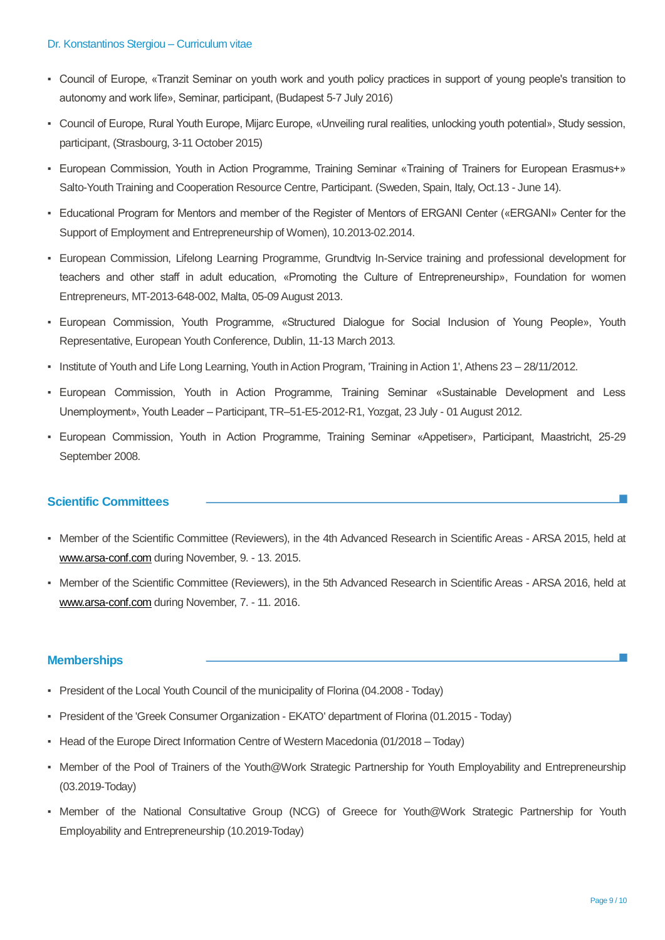#### Dr. Konstantinos Stergiou – Curriculum vitae

- Council of Europe, «Tranzit Seminar on youth work and youth policy practices in support of young people's transition to autonomy and work life», Seminar, participant, (Budapest 5-7 July 2016)
- Council of Europe, Rural Youth Europe, Mijarc Europe, «Unveiling rural realities, unlocking youth potential», Study session, participant, (Strasbourg, 3-11 October 2015)
- European Commission, Youth in Action Programme, Training Seminar «Training of Trainers for European Erasmus+» Salto-Youth Training and Cooperation Resource Centre, Participant. (Sweden, Spain, Italy, Oct.13 - June 14).
- Educational Program for Mentors and member of the Register of Mentors of ERGANI Center («ERGANI» Center for the Support of Employment and Entrepreneurship of Women), 10.2013-02.2014.
- European Commission, Lifelong Learning Programme, Grundtvig In-Service training and professional development for teachers and other staff in adult education, «Promoting the Culture of Entrepreneurship», Foundation for women Entrepreneurs, MT-2013-648-002, Malta, 05-09 August 2013.
- European Commission, Youth Programme, «Structured Dialogue for Social Inclusion of Young People», Youth Representative, European Youth Conference, Dublin, 11-13 March 2013.
- Institute of Youth and Life Long Learning, Youth in Action Program, 'Training in Action 1', Athens 23 28/11/2012.
- European Commission, Youth in Action Programme, Training Seminar «Sustainable Development and Less Unemployment», Youth Leader – Participant, TR–51-E5-2012-R1, Yozgat, 23 July - 01 August 2012.
- European Commission, Youth in Action Programme, Training Seminar «Appetiser», Participant, Maastricht, 25-29 September 2008.

#### **Scientific Committees**

- Member of the Scientific Committee (Reviewers), in the 4th Advanced Research in Scientific Areas ARSA 2015, held at [www.arsa-conf.com](http://www.arsa-conf.com/) during November, 9. - 13. 2015.
- Member of the Scientific Committee (Reviewers), in the 5th Advanced Research in Scientific Areas ARSA 2016, held at [www.arsa-conf.com](http://www.arsa-conf.com/) during November, 7. - 11. 2016.

#### **Memberships**

- President of the Local Youth Council of the municipality of Florina (04.2008 Today)
- President of the 'Greek Consumer Organization EKATO' department of Florina (01.2015 Today)
- Head of the Europe Direct Information Centre of Western Macedonia (01/2018 Today)
- Member of the Pool of Trainers of the Youth@Work Strategic Partnership for Youth Employability and Entrepreneurship (03.2019-Today)
- Member of the National Consultative Group (NCG) of Greece for Youth@Work Strategic Partnership for Youth Employability and Entrepreneurship (10.2019-Today)